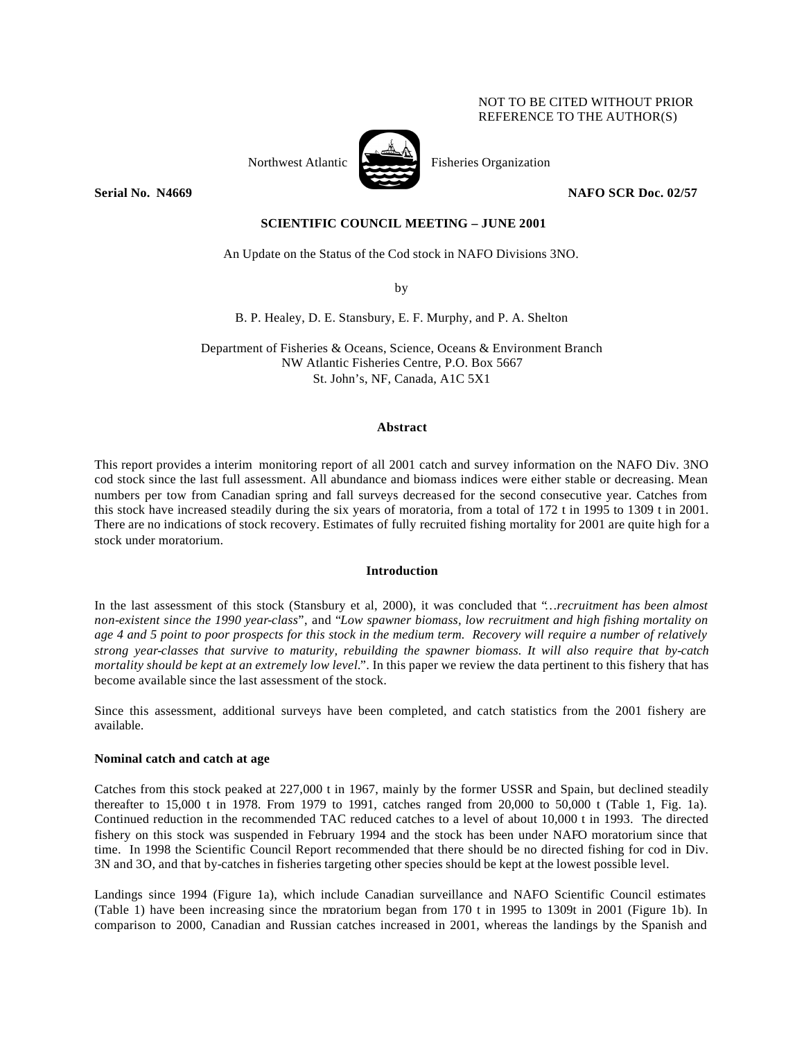## NOT TO BE CITED WITHOUT PRIOR REFERENCE TO THE AUTHOR(S)



Northwest Atlantic Fisheries Organization

**Serial No. 14669 NAFO SCR Doc. 02/57** 

# **SCIENTIFIC COUNCIL MEETING – JUNE 2001**

An Update on the Status of the Cod stock in NAFO Divisions 3NO.

by

B. P. Healey, D. E. Stansbury, E. F. Murphy, and P. A. Shelton

Department of Fisheries & Oceans, Science, Oceans & Environment Branch NW Atlantic Fisheries Centre, P.O. Box 5667 St. John's, NF, Canada, A1C 5X1

## **Abstract**

This report provides a interim monitoring report of all 2001 catch and survey information on the NAFO Div. 3NO cod stock since the last full assessment. All abundance and biomass indices were either stable or decreasing. Mean numbers per tow from Canadian spring and fall surveys decreased for the second consecutive year. Catches from this stock have increased steadily during the six years of moratoria, from a total of 172 t in 1995 to 1309 t in 2001. There are no indications of stock recovery. Estimates of fully recruited fishing mortality for 2001 are quite high for a stock under moratorium.

### **Introduction**

In the last assessment of this stock (Stansbury et al, 2000), it was concluded that "*…recruitment has been almost non-existent since the 1990 year-class*", and "*Low spawner biomass, low recruitment and high fishing mortality on age 4 and 5 point to poor prospects for this stock in the medium term. Recovery will require a number of relatively strong year-classes that survive to maturity, rebuilding the spawner biomass. It will also require that by-catch mortality should be kept at an extremely low level.*". In this paper we review the data pertinent to this fishery that has become available since the last assessment of the stock.

Since this assessment, additional surveys have been completed, and catch statistics from the 2001 fishery are available.

### **Nominal catch and catch at age**

Catches from this stock peaked at 227,000 t in 1967, mainly by the former USSR and Spain, but declined steadily thereafter to 15,000 t in 1978. From 1979 to 1991, catches ranged from 20,000 to 50,000 t (Table 1, Fig. 1a). Continued reduction in the recommended TAC reduced catches to a level of about 10,000 t in 1993. The directed fishery on this stock was suspended in February 1994 and the stock has been under NAFO moratorium since that time. In 1998 the Scientific Council Report recommended that there should be no directed fishing for cod in Div. 3N and 3O, and that by-catches in fisheries targeting other species should be kept at the lowest possible level.

Landings since 1994 (Figure 1a), which include Canadian surveillance and NAFO Scientific Council estimates (Table 1) have been increasing since the moratorium began from 170 t in 1995 to 1309t in 2001 (Figure 1b). In comparison to 2000, Canadian and Russian catches increased in 2001, whereas the landings by the Spanish and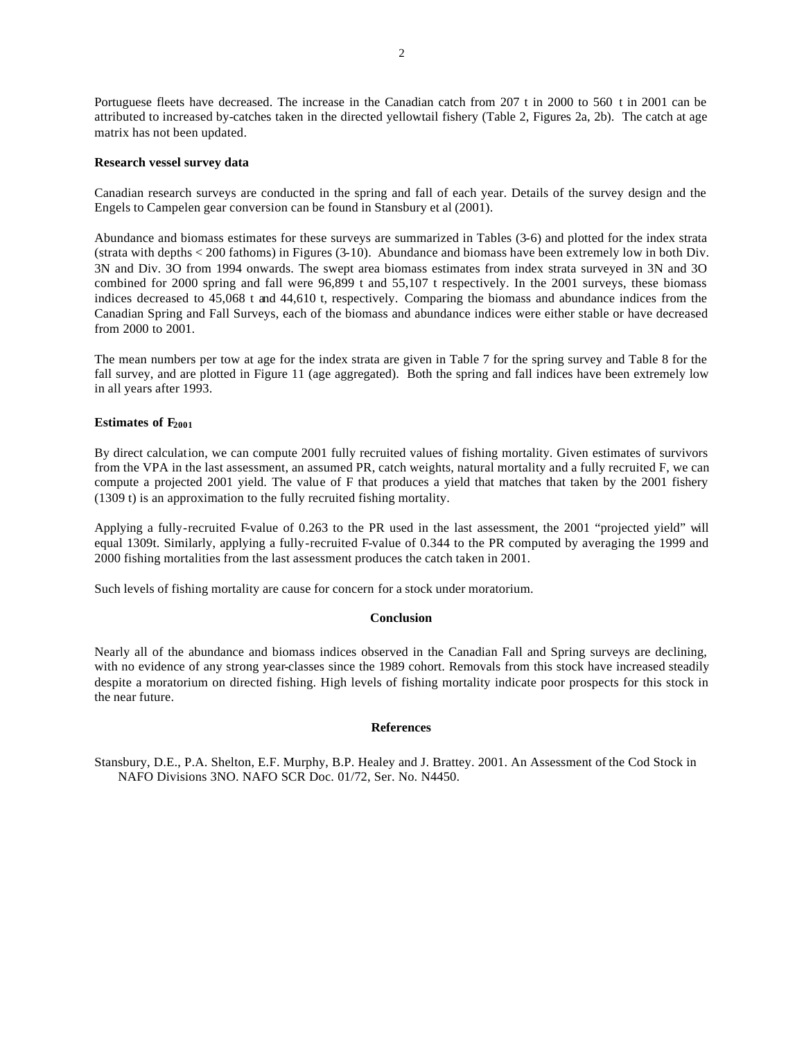Portuguese fleets have decreased. The increase in the Canadian catch from 207 t in 2000 to 560 t in 2001 can be attributed to increased by-catches taken in the directed yellowtail fishery (Table 2, Figures 2a, 2b). The catch at age matrix has not been updated.

### **Research vessel survey data**

Canadian research surveys are conducted in the spring and fall of each year. Details of the survey design and the Engels to Campelen gear conversion can be found in Stansbury et al (2001).

Abundance and biomass estimates for these surveys are summarized in Tables (3-6) and plotted for the index strata (strata with depths < 200 fathoms) in Figures (3-10). Abundance and biomass have been extremely low in both Div. 3N and Div. 3O from 1994 onwards. The swept area biomass estimates from index strata surveyed in 3N and 3O combined for 2000 spring and fall were 96,899 t and 55,107 t respectively. In the 2001 surveys, these biomass indices decreased to 45,068 t and 44,610 t, respectively. Comparing the biomass and abundance indices from the Canadian Spring and Fall Surveys, each of the biomass and abundance indices were either stable or have decreased from 2000 to 2001.

The mean numbers per tow at age for the index strata are given in Table 7 for the spring survey and Table 8 for the fall survey, and are plotted in Figure 11 (age aggregated). Both the spring and fall indices have been extremely low in all years after 1993.

# **Estimates of F<sup>2001</sup>**

By direct calculation, we can compute 2001 fully recruited values of fishing mortality. Given estimates of survivors from the VPA in the last assessment, an assumed PR, catch weights, natural mortality and a fully recruited F, we can compute a projected 2001 yield. The value of F that produces a yield that matches that taken by the 2001 fishery (1309 t) is an approximation to the fully recruited fishing mortality.

Applying a fully-recruited F-value of 0.263 to the PR used in the last assessment, the 2001 "projected yield" will equal 1309t. Similarly, applying a fully-recruited F-value of 0.344 to the PR computed by averaging the 1999 and 2000 fishing mortalities from the last assessment produces the catch taken in 2001.

Such levels of fishing mortality are cause for concern for a stock under moratorium.

#### **Conclusion**

Nearly all of the abundance and biomass indices observed in the Canadian Fall and Spring surveys are declining, with no evidence of any strong year-classes since the 1989 cohort. Removals from this stock have increased steadily despite a moratorium on directed fishing. High levels of fishing mortality indicate poor prospects for this stock in the near future.

### **References**

Stansbury, D.E., P.A. Shelton, E.F. Murphy, B.P. Healey and J. Brattey. 2001. An Assessment of the Cod Stock in NAFO Divisions 3NO. NAFO SCR Doc. 01/72, Ser. No. N4450.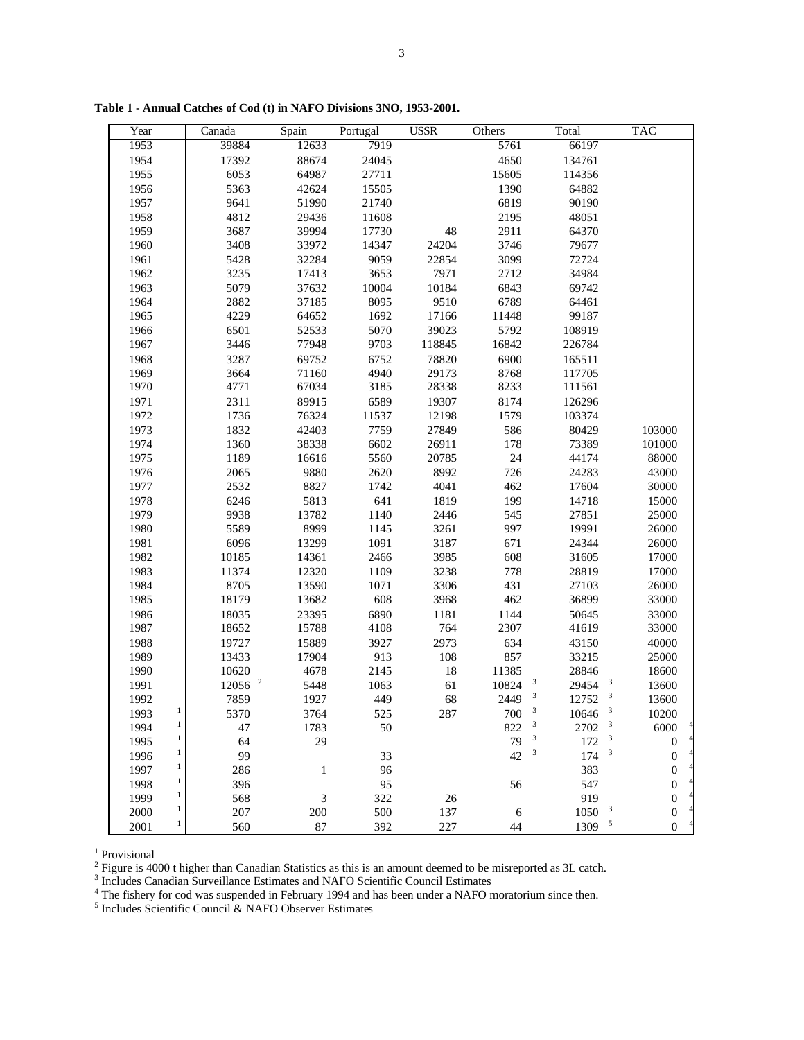| Year                 | Canada               | Spain                       | Portugal | <b>USSR</b> | Others | Total                                        | <b>TAC</b>       |
|----------------------|----------------------|-----------------------------|----------|-------------|--------|----------------------------------------------|------------------|
| 1953                 | 39884                | 12633                       | 7919     |             | 5761   | 66197                                        |                  |
| 1954                 | 17392                | 88674                       | 24045    |             | 4650   | 134761                                       |                  |
| 1955                 | 6053                 | 64987                       | 27711    |             | 15605  | 114356                                       |                  |
| 1956                 | 5363                 | 42624                       | 15505    |             | 1390   | 64882                                        |                  |
| 1957                 | 9641                 | 51990                       | 21740    |             | 6819   | 90190                                        |                  |
| 1958                 | 4812                 | 29436                       | 11608    |             | 2195   | 48051                                        |                  |
| 1959                 | 3687                 | 39994                       | 17730    | 48          | 2911   | 64370                                        |                  |
| 1960                 | 3408                 | 33972                       | 14347    | 24204       | 3746   | 79677                                        |                  |
| 1961                 | 5428                 | 32284                       | 9059     | 22854       | 3099   | 72724                                        |                  |
| 1962                 | 3235                 | 17413                       | 3653     | 7971        | 2712   | 34984                                        |                  |
| 1963                 | 5079                 | 37632                       | 10004    | 10184       | 6843   | 69742                                        |                  |
| 1964                 | 2882                 | 37185                       | 8095     | 9510        | 6789   | 64461                                        |                  |
| 1965                 | 4229                 | 64652                       | 1692     | 17166       | 11448  | 99187                                        |                  |
| 1966                 | 6501                 | 52533                       | 5070     | 39023       | 5792   | 108919                                       |                  |
| 1967                 | 3446                 | 77948                       | 9703     | 118845      | 16842  | 226784                                       |                  |
| 1968                 | 3287                 | 69752                       | 6752     | 78820       | 6900   | 165511                                       |                  |
| 1969                 | 3664                 | 71160                       | 4940     | 29173       | 8768   | 117705                                       |                  |
| 1970                 | 4771                 | 67034                       | 3185     | 28338       | 8233   | 111561                                       |                  |
| 1971                 | 2311                 | 89915                       | 6589     | 19307       | 8174   | 126296                                       |                  |
| 1972                 | 1736                 | 76324                       | 11537    | 12198       | 1579   | 103374                                       |                  |
| 1973                 | 1832                 | 42403                       | 7759     | 27849       | 586    | 80429                                        | 103000           |
| 1974                 | 1360                 | 38338                       | 6602     | 26911       | 178    | 73389                                        | 101000           |
| 1975                 | 1189                 | 16616                       | 5560     | 20785       | 24     | 44174                                        | 88000            |
| 1976                 | 2065                 | 9880                        | 2620     | 8992        | 726    | 24283                                        | 43000            |
| 1977                 | 2532                 | 8827                        | 1742     | 4041        | 462    | 17604                                        | 30000            |
| 1978                 | 6246                 | 5813                        | 641      | 1819        | 199    | 14718                                        | 15000            |
| 1979                 | 9938                 | 13782                       | 1140     | 2446        | 545    | 27851                                        | 25000            |
| 1980                 | 5589                 | 8999                        | 1145     | 3261        | 997    | 19991                                        | 26000            |
| 1981                 | 6096                 | 13299                       | 1091     | 3187        | 671    | 24344                                        | 26000            |
| 1982                 | 10185                | 14361                       | 2466     | 3985        | 608    | 31605                                        | 17000            |
| 1983                 | 11374                | 12320                       | 1109     | 3238        | 778    | 28819                                        | 17000            |
| 1984                 | 8705                 | 13590                       | 1071     | 3306        | 431    | 27103                                        | 26000            |
| 1985                 | 18179                | 13682                       | 608      | 3968        | 462    | 36899                                        | 33000            |
| 1986                 | 18035                | 23395                       | 6890     | 1181        | 1144   | 50645                                        | 33000            |
| 1987                 | 18652                | 15788                       | 4108     | 764         | 2307   | 41619                                        | 33000            |
| 1988                 | 19727                | 15889                       | 3927     | 2973        | 634    | 43150                                        | 40000            |
| 1989                 | 13433                | 17904                       | 913      | 108         | 857    | 33215                                        | 25000            |
| 1990                 | 10620                | 4678                        | 2145     | 18          | 11385  | 28846                                        | 18600            |
| 1991                 | $12056$ <sup>2</sup> | 5448                        | 1063     | 61          | 10824  | 3<br>29454 3                                 | 13600            |
| 1992                 | 7859                 | 1927                        | 449      | 68          | 2449   | $\mathbf{3}$<br>$12752$ <sup>3</sup>         | 13600            |
| 1993                 | 5370                 | 3764                        | 525      | 287         | 700    | 10646                                        | 10200            |
| $\mathbf{1}$<br>1994 | 47                   | 1783                        | 50       |             | 822    | 2702 <sup>3</sup><br>$\overline{\mathbf{3}}$ | 6000             |
| $\mathbf{1}$<br>1995 | 64                   | 29                          |          |             | 79     | 3<br>3<br>172                                | $\boldsymbol{0}$ |
| $\mathbf{1}$<br>1996 | 99                   |                             | 33       |             | 42     | 3<br>$\mathbf{3}$<br>174                     | $\boldsymbol{0}$ |
| $\mathbf{1}$<br>1997 | 286                  | $\mathbf{1}$                | 96       |             |        | 383                                          | 0                |
| $\mathbf{1}$<br>1998 | 396                  |                             | 95       |             | 56     | 547                                          | $\mathbf{0}$     |
| $\mathbf{1}$<br>1999 | 568                  | $\ensuremath{\mathfrak{Z}}$ | 322      | $26\,$      |        | 919                                          | $\boldsymbol{0}$ |
| 1<br>2000            | 207                  | 200                         | 500      | 137         | 6      | 3<br>1050                                    | $\boldsymbol{0}$ |
| $\mathbf{1}$<br>2001 | 560                  | 87                          | 392      | 227         | 44     | 5<br>1309                                    | $\boldsymbol{0}$ |

**Table 1 - Annual Catches of Cod (t) in NAFO Divisions 3NO, 1953-2001.**

<sup>1</sup> Provisional<br><sup>2</sup> Figure is 4000 t higher than Canadian Statistics as this is an amount deemed to be misreported as 3L catch.<br><sup>3</sup> Includes Canadian Surveillance Estimates and NAFO Scientific Council Estimates<br><sup>4</sup> The fi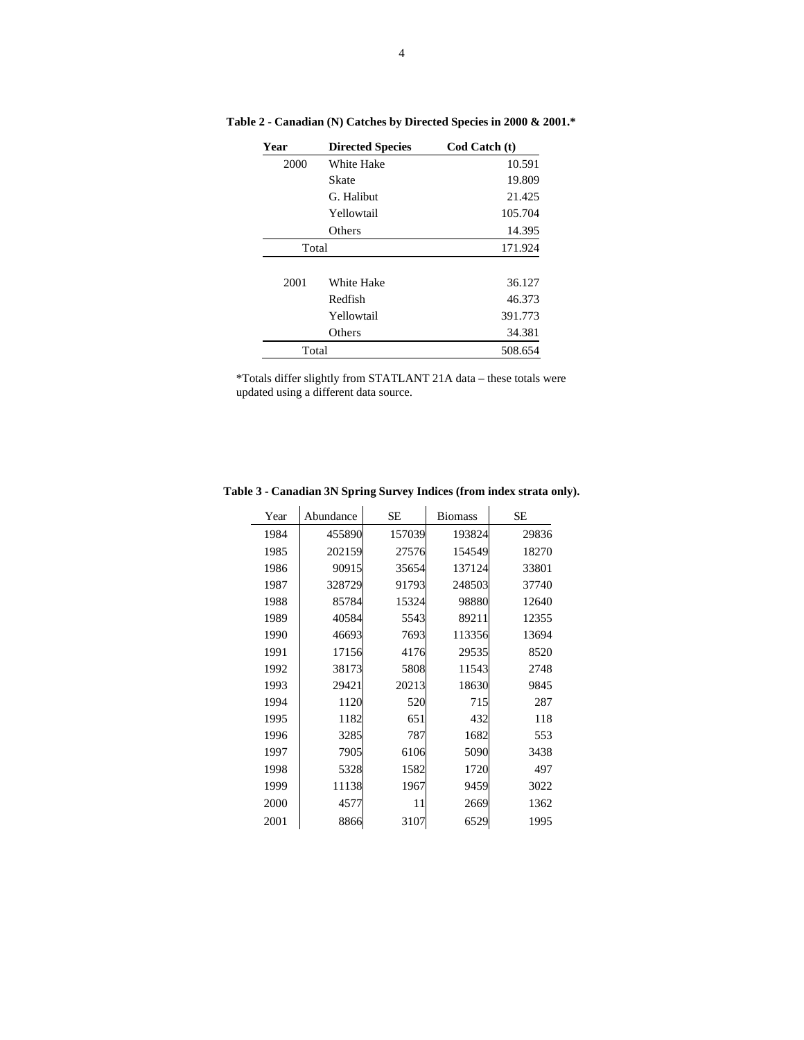| Year  | <b>Directed Species</b> | Cod Catch (t) |
|-------|-------------------------|---------------|
| 2000  | White Hake              | 10.591        |
|       | Skate                   | 19.809        |
|       | G. Halibut              | 21.425        |
|       | Yellowtail              | 105.704       |
|       | Others                  | 14.395        |
| Total |                         | 171.924       |
|       |                         |               |
| 2001  | White Hake              | 36.127        |
|       | Redfish                 | 46.373        |
|       | Yellowtail              | 391.773       |
|       | Others                  | 34.381        |
| Total |                         | 508.654       |

**Table 2 - Canadian (N) Catches by Directed Species in 2000 & 2001.\***

\*Totals differ slightly from STATLANT 21A data – these totals were updated using a different data source.

|  |                           |  | Table 3 - Canadian 3N Spring Survey Indices (from index strata only). |  |
|--|---------------------------|--|-----------------------------------------------------------------------|--|
|  | Year Abundance SE Biomass |  | <b>SE</b>                                                             |  |
|  |                           |  |                                                                       |  |

| Year | Abundance | SЕ     | <b>Biomass</b> | SЕ    |
|------|-----------|--------|----------------|-------|
| 1984 | 455890    | 157039 | 193824         | 29836 |
| 1985 | 202159    | 27576  | 154549         | 18270 |
| 1986 | 90915     | 35654  | 137124         | 33801 |
| 1987 | 328729    | 91793  | 248503         | 37740 |
| 1988 | 85784     | 15324  | 98880          | 12640 |
| 1989 | 40584     | 5543   | 89211          | 12355 |
| 1990 | 46693     | 7693   | 113356         | 13694 |
| 1991 | 17156     | 4176   | 29535          | 8520  |
| 1992 | 38173     | 5808   | 11543          | 2748  |
| 1993 | 29421     | 20213  | 18630          | 9845  |
| 1994 | 1120      | 520    | 715            | 287   |
| 1995 | 1182      | 651    | 432            | 118   |
| 1996 | 3285      | 787    | 1682           | 553   |
| 1997 | 7905      | 6106   | 5090           | 3438  |
| 1998 | 5328      | 1582   | 1720           | 497   |
| 1999 | 11138     | 1967   | 9459           | 3022  |
| 2000 | 4577      | 11     | 2669           | 1362  |
| 2001 | 8866      | 3107   | 6529           | 1995  |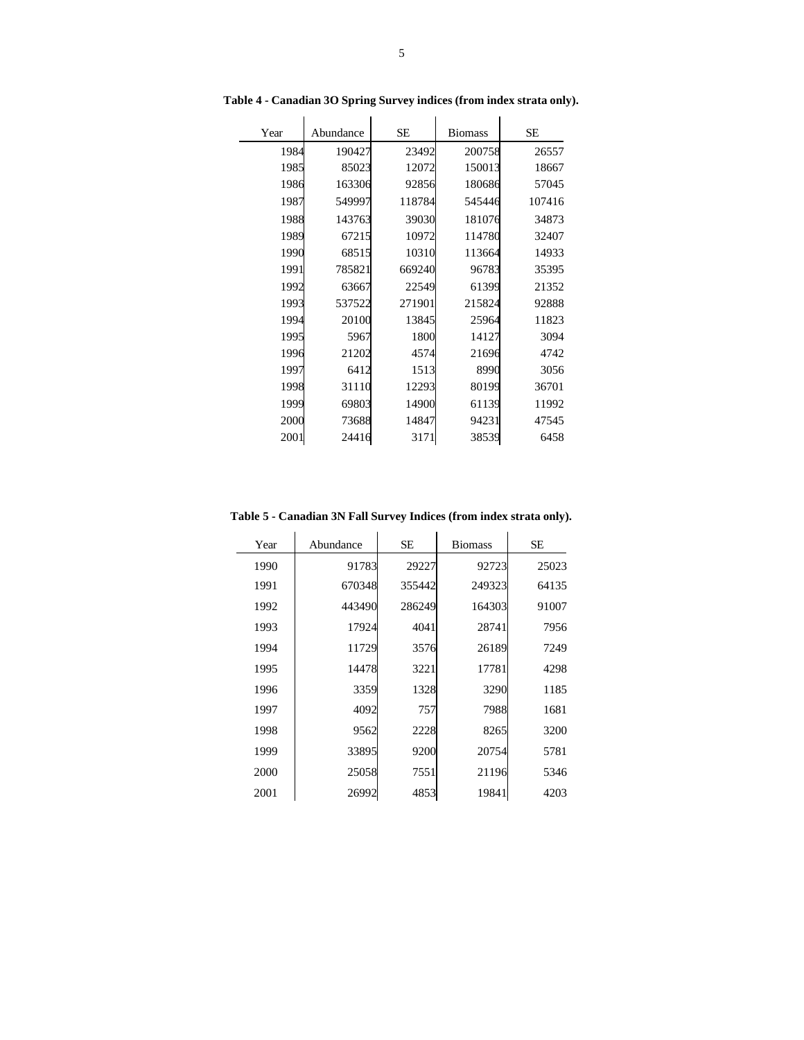| Year | Abundance | <b>SE</b> | <b>Biomass</b> | <b>SE</b> |  |  |
|------|-----------|-----------|----------------|-----------|--|--|
| 1984 | 190427    | 23492     | 200758         | 26557     |  |  |
| 1985 | 85023     | 12072     | 150013         | 18667     |  |  |
| 1986 | 163306    | 92856     | 180686         | 57045     |  |  |
| 1987 | 549997    | 118784    | 545446         | 107416    |  |  |
| 1988 | 143763    | 39030     | 181076         | 34873     |  |  |
| 1989 | 67215     | 10972     | 114780         | 32407     |  |  |
| 1990 | 68515     | 10310     | 113664         | 14933     |  |  |
| 1991 | 785821    | 669240    | 96783          | 35395     |  |  |
| 1992 | 63667     | 22549     | 61399          | 21352     |  |  |
| 1993 | 537522    | 271901    | 215824         | 92888     |  |  |
| 1994 | 20100     | 13845     | 25964          | 11823     |  |  |
| 1995 | 5967      | 1800      | 14127          | 3094      |  |  |
| 1996 | 21202     | 4574      | 21696          | 4742      |  |  |
| 1997 | 6412      | 1513      | 8990           | 3056      |  |  |
| 1998 | 31110     | 12293     | 80199          | 36701     |  |  |
| 1999 | 69803     | 14900     | 61139          | 11992     |  |  |
| 2000 | 73688     | 14847     | 94231          | 47545     |  |  |
| 2001 | 24416     | 3171      | 38539          | 6458      |  |  |

**Table 4 - Canadian 3O Spring Survey indices (from index strata only).**

**Table 5 - Canadian 3N Fall Survey Indices (from index strata only).**

| Year | Abundance | <b>SE</b> | <b>Biomass</b> | SE    |  |
|------|-----------|-----------|----------------|-------|--|
| 1990 | 91783     | 29227     | 92723          | 25023 |  |
| 1991 | 670348    | 355442    | 249323         | 64135 |  |
| 1992 | 443490    | 286249    | 164303         | 91007 |  |
| 1993 | 17924     | 4041      | 28741          | 7956  |  |
| 1994 | 11729     | 3576      | 26189          | 7249  |  |
| 1995 | 14478     | 3221      | 17781          | 4298  |  |
| 1996 | 3359      | 1328      | 3290           | 1185  |  |
| 1997 | 4092      | 757       | 7988           | 1681  |  |
| 1998 | 9562      | 2228      | 8265           | 3200  |  |
| 1999 | 33895     | 9200      | 20754          | 5781  |  |
| 2000 | 25058     | 7551      | 21196          | 5346  |  |
| 2001 | 26992     | 4853      | 19841          | 4203  |  |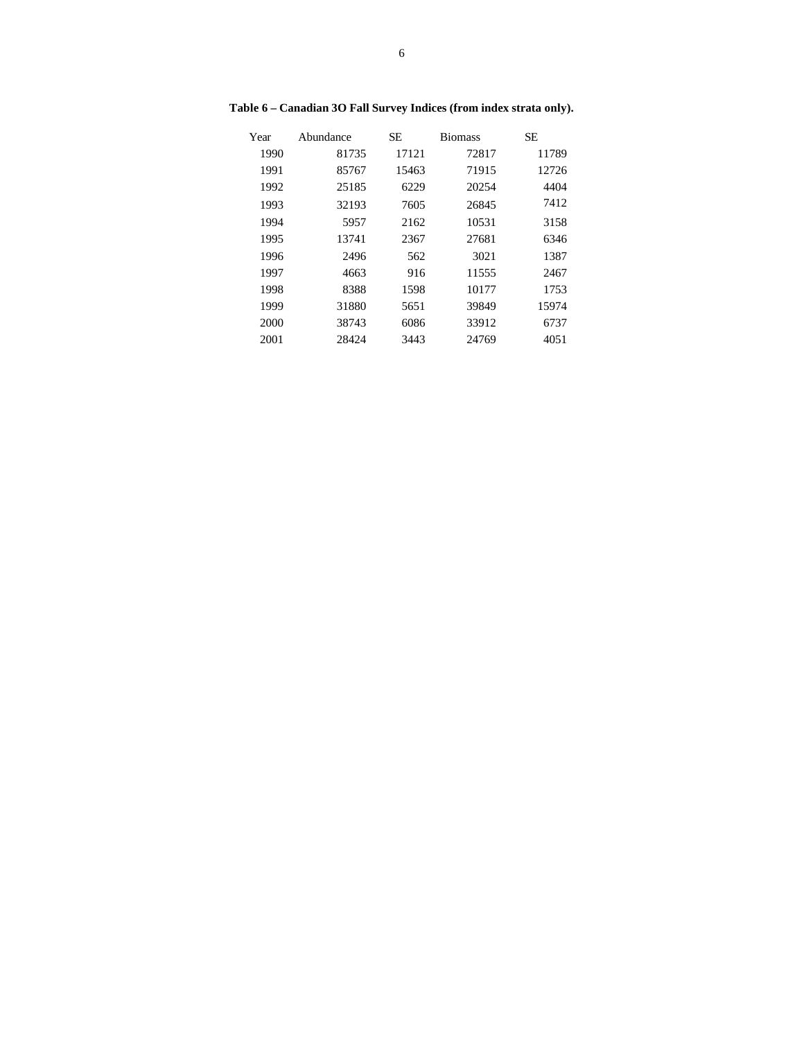| Year | Abundance | <b>SE</b> | <b>Biomass</b> | <b>SE</b> |
|------|-----------|-----------|----------------|-----------|
| 1990 | 81735     | 17121     | 72817          | 11789     |
| 1991 | 85767     | 15463     | 71915          | 12726     |
| 1992 | 25185     | 6229      | 20254          | 4404      |
| 1993 | 32193     | 7605      | 26845          | 7412      |
| 1994 | 5957      | 2162      | 10531          | 3158      |
| 1995 | 13741     | 2367      | 27681          | 6346      |
| 1996 | 2496      | 562       | 3021           | 1387      |
| 1997 | 4663      | 916       | 11555          | 2467      |
| 1998 | 8388      | 1598      | 10177          | 1753      |
| 1999 | 31880     | 5651      | 39849          | 15974     |
| 2000 | 38743     | 6086      | 33912          | 6737      |
| 2001 | 28424     | 3443      | 24769          | 4051      |

**Table 6 – Canadian 3O Fall Survey Indices (from index strata only).**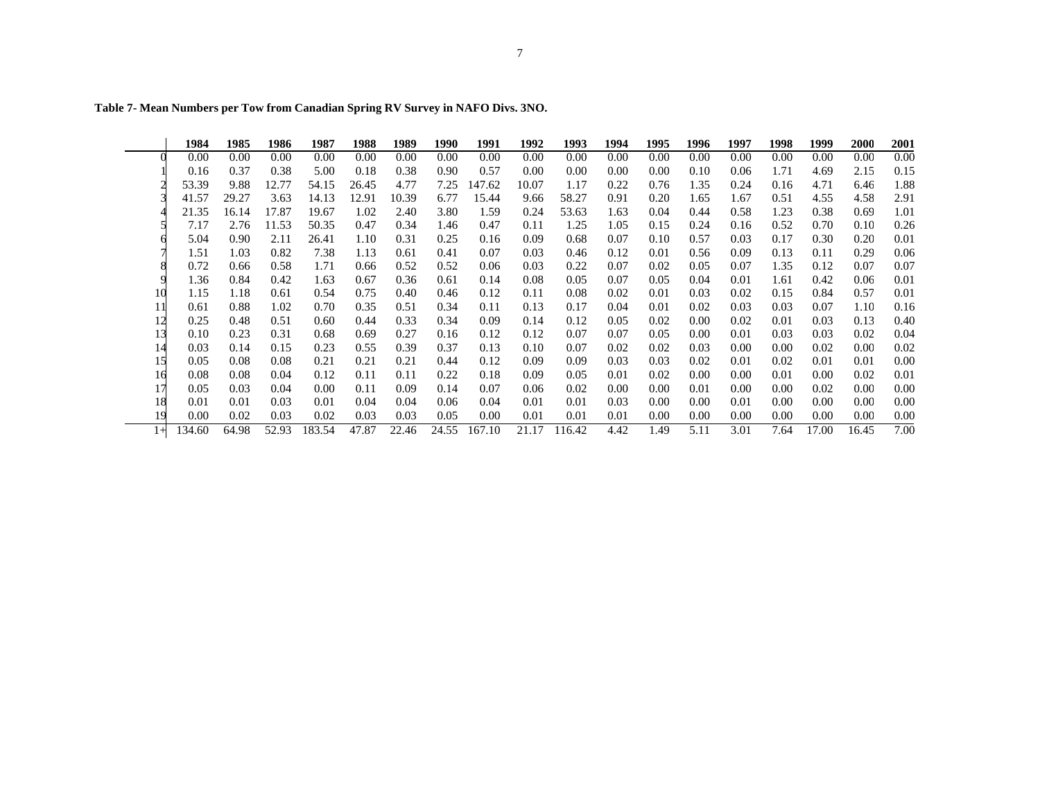|      | 1984   | 1985  | 1986  | 1987   | 1988  | 1989  | 1990  | 1991   | 1992  | 1993   | 1994 | 1995 | 1996 | 1997 | 1998 | 1999  | 2000  | <b>2001</b> |
|------|--------|-------|-------|--------|-------|-------|-------|--------|-------|--------|------|------|------|------|------|-------|-------|-------------|
|      | 0.00   | 0.00  | 0.00  | 0.00   | 0.00  | 0.00  | 0.00  | 0.00   | 0.00  | 0.00   | 0.00 | 0.00 | 0.00 | 0.00 | 0.00 | 0.00  | 0.00  | 0.00        |
|      | 0.16   | 0.37  | 0.38  | 5.00   | 0.18  | 0.38  | 0.90  | 0.57   | 0.00  | 0.00   | 0.00 | 0.00 | 0.10 | 0.06 | 1.71 | 4.69  | 2.15  | 0.15        |
|      | 53.39  | 9.88  | 12.77 | 54.15  | 26.45 | 4.77  | 7.25  | 147.62 | 10.07 | 1.17   | 0.22 | 0.76 | 1.35 | 0.24 | 0.16 | 4.71  | 6.46  | 1.88        |
|      | 41.57  | 29.27 | 3.63  | 14.13  | 12.91 | 10.39 | 6.77  | 15.44  | 9.66  | 58.27  | 0.91 | 0.20 | 1.65 | 1.67 | 0.51 | 4.55  | 4.58  | 2.91        |
|      | 21.35  | 16.14 | 17.87 | 19.67  | 1.02  | 2.40  | 3.80  | 1.59   | 0.24  | 53.63  | 1.63 | 0.04 | 0.44 | 0.58 | 1.23 | 0.38  | 0.69  | 1.01        |
|      | 7.17   | 2.76  | 11.53 | 50.35  | 0.47  | 0.34  | 1.46  | 0.47   | 0.11  | 1.25   | 1.05 | 0.15 | 0.24 | 0.16 | 0.52 | 0.70  | 0.10  | 0.26        |
|      | 5.04   | 0.90  | 2.11  | 26.41  | 1.10  | 0.31  | 0.25  | 0.16   | 0.09  | 0.68   | 0.07 | 0.10 | 0.57 | 0.03 | 0.17 | 0.30  | 0.20  | 0.01        |
|      | 1.51   | 1.03  | 0.82  | 7.38   | 1.13  | 0.61  | 0.41  | 0.07   | 0.03  | 0.46   | 0.12 | 0.01 | 0.56 | 0.09 | 0.13 | 0.11  | 0.29  | 0.06        |
|      | 0.72   | 0.66  | 0.58  | 1.71   | 0.66  | 0.52  | 0.52  | 0.06   | 0.03  | 0.22   | 0.07 | 0.02 | 0.05 | 0.07 | 1.35 | 0.12  | 0.07  | 0.07        |
|      | 1.36   | 0.84  | 0.42  | 1.63   | 0.67  | 0.36  | 0.61  | 0.14   | 0.08  | 0.05   | 0.07 | 0.05 | 0.04 | 0.01 | 1.61 | 0.42  | 0.06  | 0.01        |
|      | 1.15   | 1.18  | 0.61  | 0.54   | 0.75  | 0.40  | 0.46  | 0.12   | 0.11  | 0.08   | 0.02 | 0.01 | 0.03 | 0.02 | 0.15 | 0.84  | 0.57  | 0.01        |
| 11   | 0.61   | 0.88  | 1.02  | 0.70   | 0.35  | 0.51  | 0.34  | 0.11   | 0.13  | 0.17   | 0.04 | 0.01 | 0.02 | 0.03 | 0.03 | 0.07  | 1.10  | 0.16        |
| 12   | 0.25   | 0.48  | 0.51  | 0.60   | 0.44  | 0.33  | 0.34  | 0.09   | 0.14  | 0.12   | 0.05 | 0.02 | 0.00 | 0.02 | 0.01 | 0.03  | 0.13  | 0.40        |
| 13   | 0.10   | 0.23  | 0.31  | 0.68   | 0.69  | 0.27  | 0.16  | 0.12   | 0.12  | 0.07   | 0.07 | 0.05 | 0.00 | 0.01 | 0.03 | 0.03  | 0.02  | 0.04        |
| 14   | 0.03   | 0.14  | 0.15  | 0.23   | 0.55  | 0.39  | 0.37  | 0.13   | 0.10  | 0.07   | 0.02 | 0.02 | 0.03 | 0.00 | 0.00 | 0.02  | 0.00  | 0.02        |
| 15   | 0.05   | 0.08  | 0.08  | 0.21   | 0.21  | 0.21  | 0.44  | 0.12   | 0.09  | 0.09   | 0.03 | 0.03 | 0.02 | 0.01 | 0.02 | 0.01  | 0.01  | 0.00        |
| 16   | 0.08   | 0.08  | 0.04  | 0.12   | 0.11  | 0.11  | 0.22  | 0.18   | 0.09  | 0.05   | 0.01 | 0.02 | 0.00 | 0.00 | 0.01 | 0.00  | 0.02  | 0.01        |
|      | 0.05   | 0.03  | 0.04  | 0.00   | 0.11  | 0.09  | 0.14  | 0.07   | 0.06  | 0.02   | 0.00 | 0.00 | 0.01 | 0.00 | 0.00 | 0.02  | 0.00  | 0.00        |
| 18   | 0.01   | 0.01  | 0.03  | 0.01   | 0.04  | 0.04  | 0.06  | 0.04   | 0.01  | 0.01   | 0.03 | 0.00 | 0.00 | 0.01 | 0.00 | 0.00  | 0.00  | 0.00        |
| 19   | 0.00   | 0.02  | 0.03  | 0.02   | 0.03  | 0.03  | 0.05  | 0.00   | 0.01  | 0.01   | 0.01 | 0.00 | 0.00 | 0.00 | 0.00 | 0.00  | 0.00  | 0.00        |
| $1+$ | 134.60 | 64.98 | 52.93 | 183.54 | 47.87 | 22.46 | 24.55 | 167.10 | 21.17 | 116.42 | 4.42 | 1.49 | 5.11 | 3.01 | 7.64 | 17.00 | 16.45 | 7.00        |

**Table 7- Mean Numbers per Tow from Canadian Spring RV Survey in NAFO Divs. 3NO.**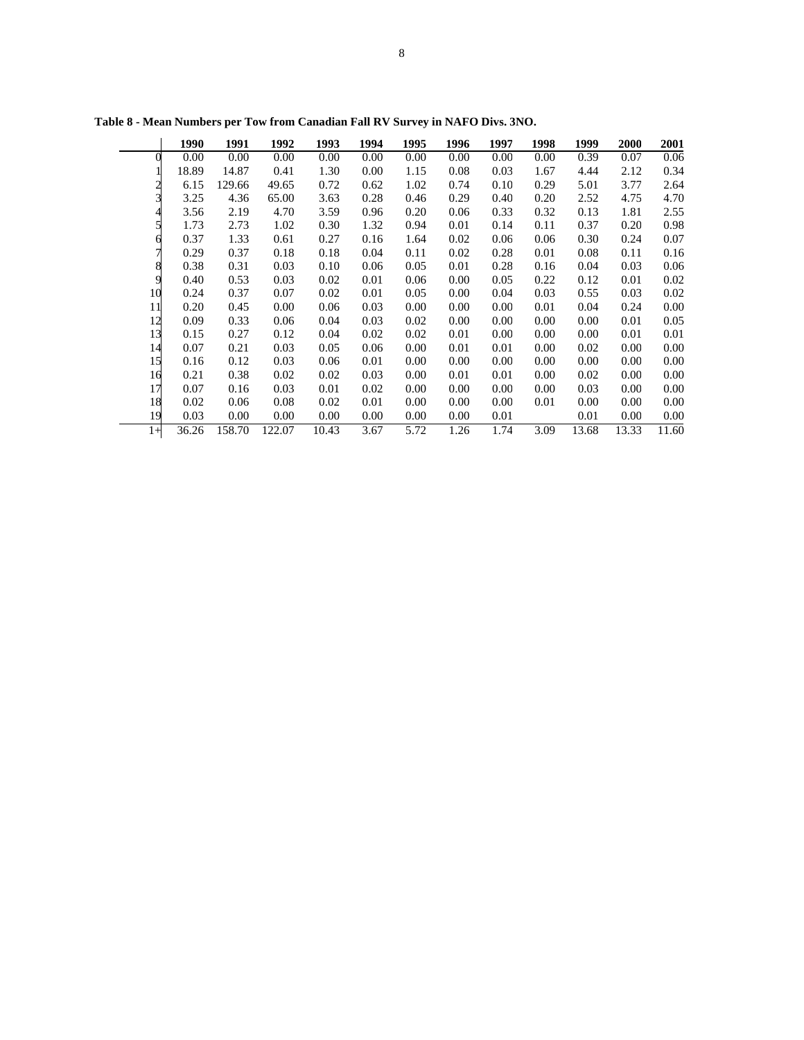|      | 1990  | 1991   | 1992   | 1993  | 1994 | 1995 | 1996 | 1997 | 1998 | 1999     | <b>2000</b> | 2001  |
|------|-------|--------|--------|-------|------|------|------|------|------|----------|-------------|-------|
|      | 0.00  | 0.00   | 0.00   | 0.00  | 0.00 | 0.00 | 0.00 | 0.00 | 0.00 | 0.39     | 0.07        | 0.06  |
|      | 18.89 | 14.87  | 0.41   | 1.30  | 0.00 | 1.15 | 0.08 | 0.03 | 1.67 | 4.44     | 2.12        | 0.34  |
|      | 6.15  | 129.66 | 49.65  | 0.72  | 0.62 | 1.02 | 0.74 | 0.10 | 0.29 | 5.01     | 3.77        | 2.64  |
|      | 3.25  | 4.36   | 65.00  | 3.63  | 0.28 | 0.46 | 0.29 | 0.40 | 0.20 | 2.52     | 4.75        | 4.70  |
|      | 3.56  | 2.19   | 4.70   | 3.59  | 0.96 | 0.20 | 0.06 | 0.33 | 0.32 | 0.13     | 1.81        | 2.55  |
|      | 1.73  | 2.73   | 1.02   | 0.30  | 1.32 | 0.94 | 0.01 | 0.14 | 0.11 | 0.37     | 0.20        | 0.98  |
|      | 0.37  | 1.33   | 0.61   | 0.27  | 0.16 | 1.64 | 0.02 | 0.06 | 0.06 | 0.30     | 0.24        | 0.07  |
|      | 0.29  | 0.37   | 0.18   | 0.18  | 0.04 | 0.11 | 0.02 | 0.28 | 0.01 | 0.08     | 0.11        | 0.16  |
|      | 0.38  | 0.31   | 0.03   | 0.10  | 0.06 | 0.05 | 0.01 | 0.28 | 0.16 | 0.04     | 0.03        | 0.06  |
| q    | 0.40  | 0.53   | 0.03   | 0.02  | 0.01 | 0.06 | 0.00 | 0.05 | 0.22 | 0.12     | 0.01        | 0.02  |
| 10   | 0.24  | 0.37   | 0.07   | 0.02  | 0.01 | 0.05 | 0.00 | 0.04 | 0.03 | 0.55     | 0.03        | 0.02  |
| 11   | 0.20  | 0.45   | 0.00   | 0.06  | 0.03 | 0.00 | 0.00 | 0.00 | 0.01 | 0.04     | 0.24        | 0.00  |
| 12   | 0.09  | 0.33   | 0.06   | 0.04  | 0.03 | 0.02 | 0.00 | 0.00 | 0.00 | 0.00     | 0.01        | 0.05  |
| 13   | 0.15  | 0.27   | 0.12   | 0.04  | 0.02 | 0.02 | 0.01 | 0.00 | 0.00 | $0.00\,$ | 0.01        | 0.01  |
| 14   | 0.07  | 0.21   | 0.03   | 0.05  | 0.06 | 0.00 | 0.01 | 0.01 | 0.00 | 0.02     | 0.00        | 0.00  |
| 15   | 0.16  | 0.12   | 0.03   | 0.06  | 0.01 | 0.00 | 0.00 | 0.00 | 0.00 | 0.00     | 0.00        | 0.00  |
| 16   | 0.21  | 0.38   | 0.02   | 0.02  | 0.03 | 0.00 | 0.01 | 0.01 | 0.00 | 0.02     | 0.00        | 0.00  |
| 17   | 0.07  | 0.16   | 0.03   | 0.01  | 0.02 | 0.00 | 0.00 | 0.00 | 0.00 | 0.03     | 0.00        | 0.00  |
| 18   | 0.02  | 0.06   | 0.08   | 0.02  | 0.01 | 0.00 | 0.00 | 0.00 | 0.01 | 0.00     | 0.00        | 0.00  |
| 19   | 0.03  | 0.00   | 0.00   | 0.00  | 0.00 | 0.00 | 0.00 | 0.01 |      | 0.01     | 0.00        | 0.00  |
| $1+$ | 36.26 | 158.70 | 122.07 | 10.43 | 3.67 | 5.72 | 1.26 | 1.74 | 3.09 | 13.68    | 13.33       | 11.60 |

**Table 8 - Mean Numbers per Tow from Canadian Fall RV Survey in NAFO Divs. 3NO.**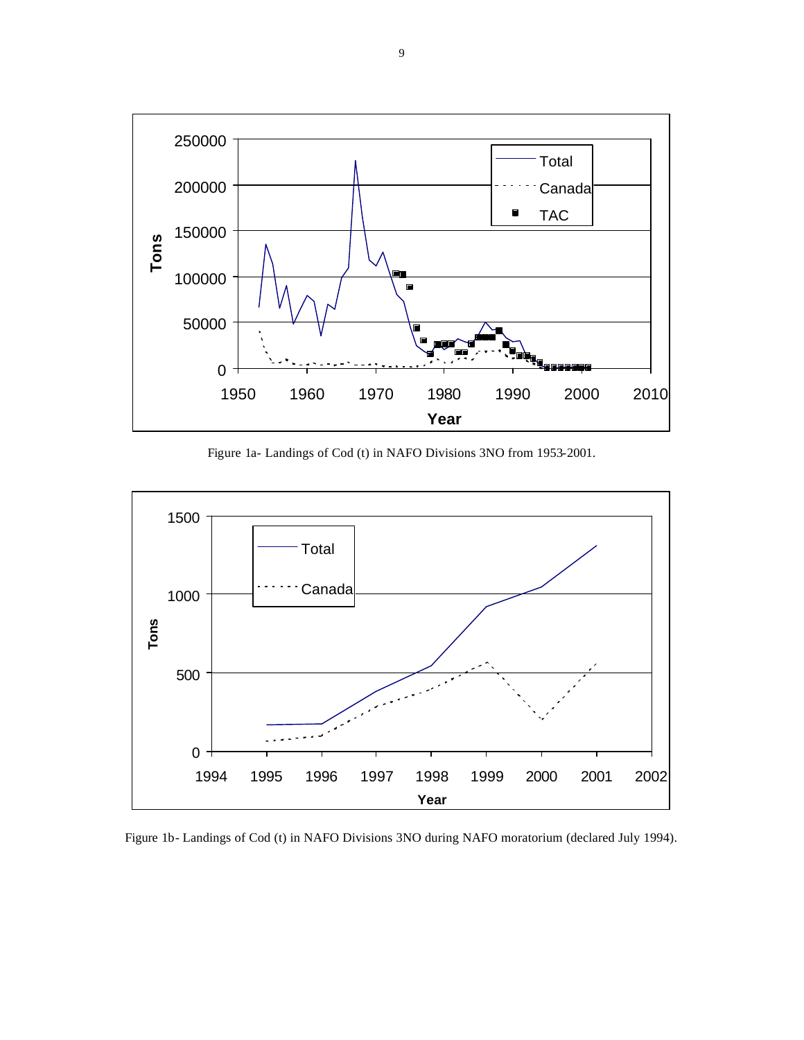

Figure 1a- Landings of Cod (t) in NAFO Divisions 3NO from 1953-2001.



Figure 1b- Landings of Cod (t) in NAFO Divisions 3NO during NAFO moratorium (declared July 1994).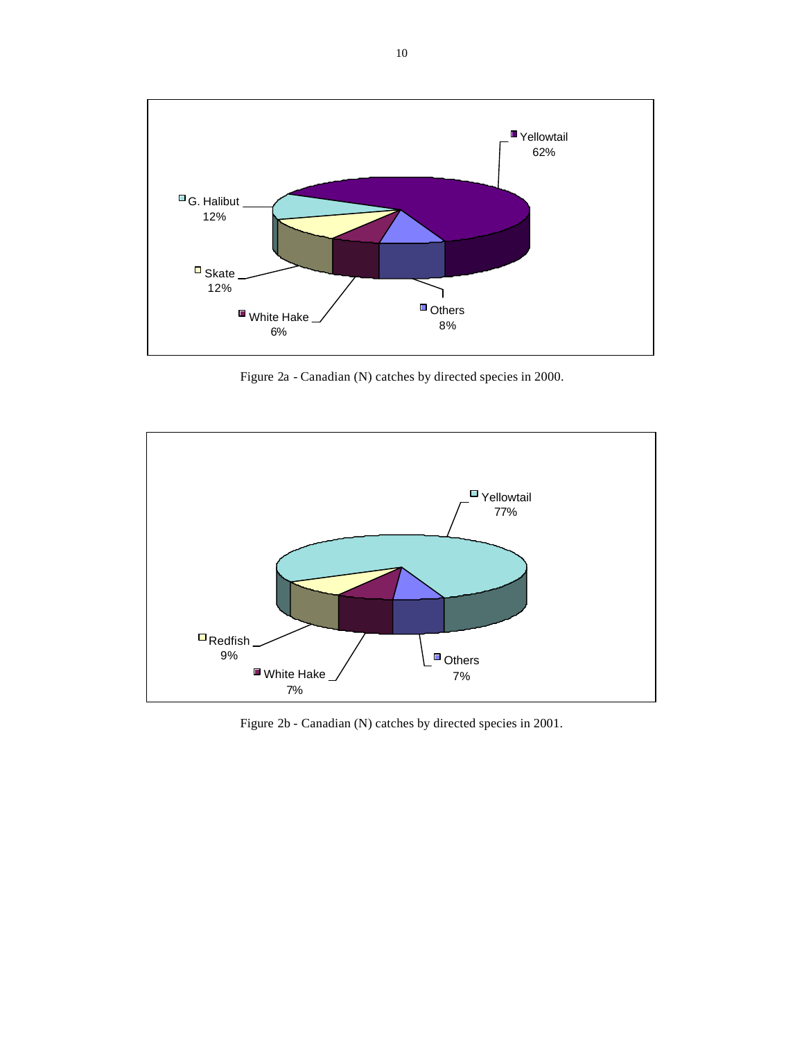

Figure 2a - Canadian (N) catches by directed species in 2000.



Figure 2b - Canadian (N) catches by directed species in 2001.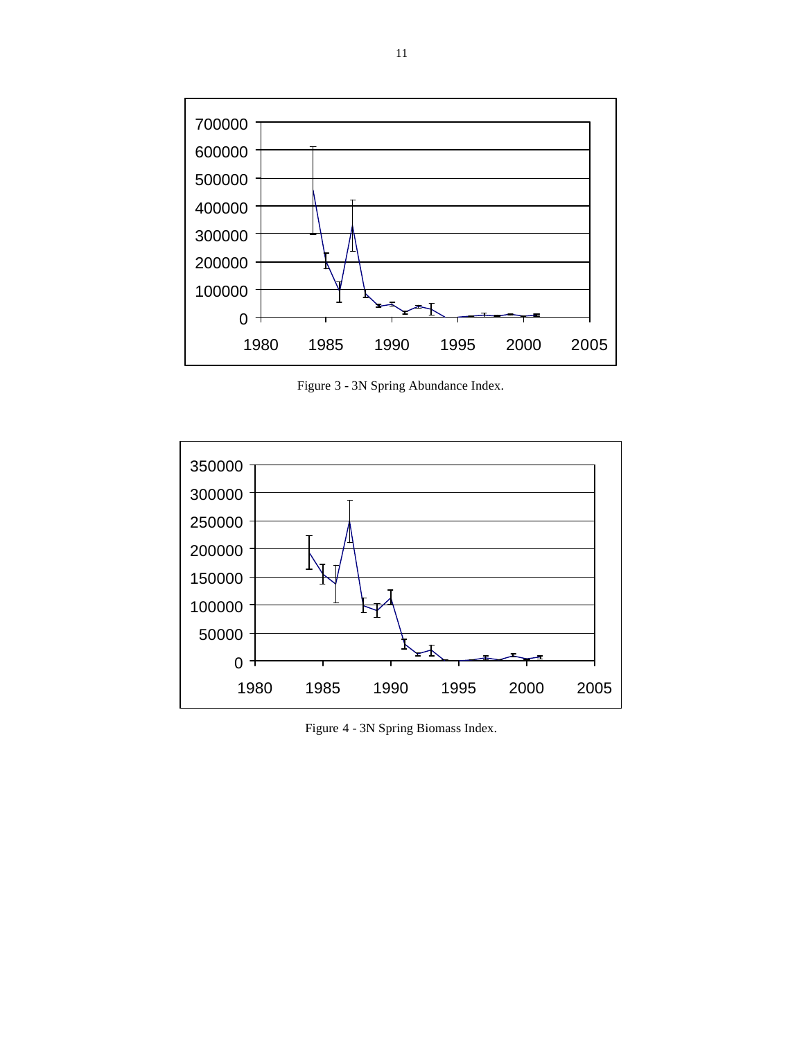

Figure 3 - 3N Spring Abundance Index.



Figure 4 - 3N Spring Biomass Index.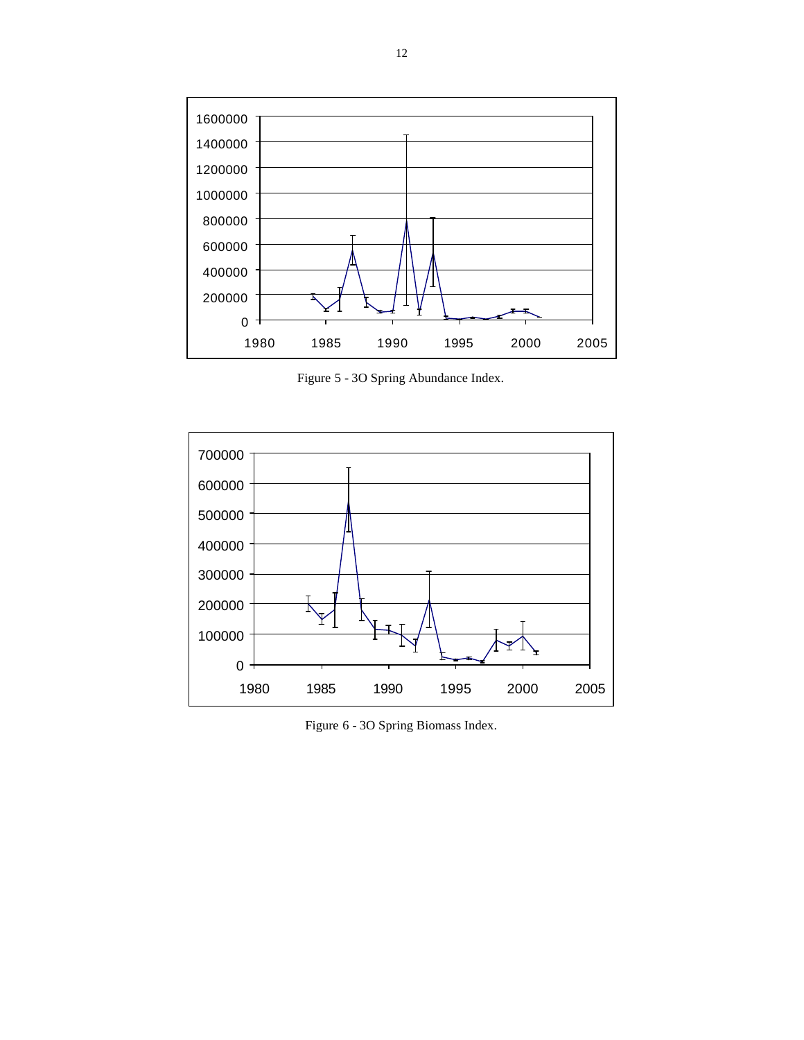

Figure 5 - 3O Spring Abundance Index.



Figure 6 - 3O Spring Biomass Index.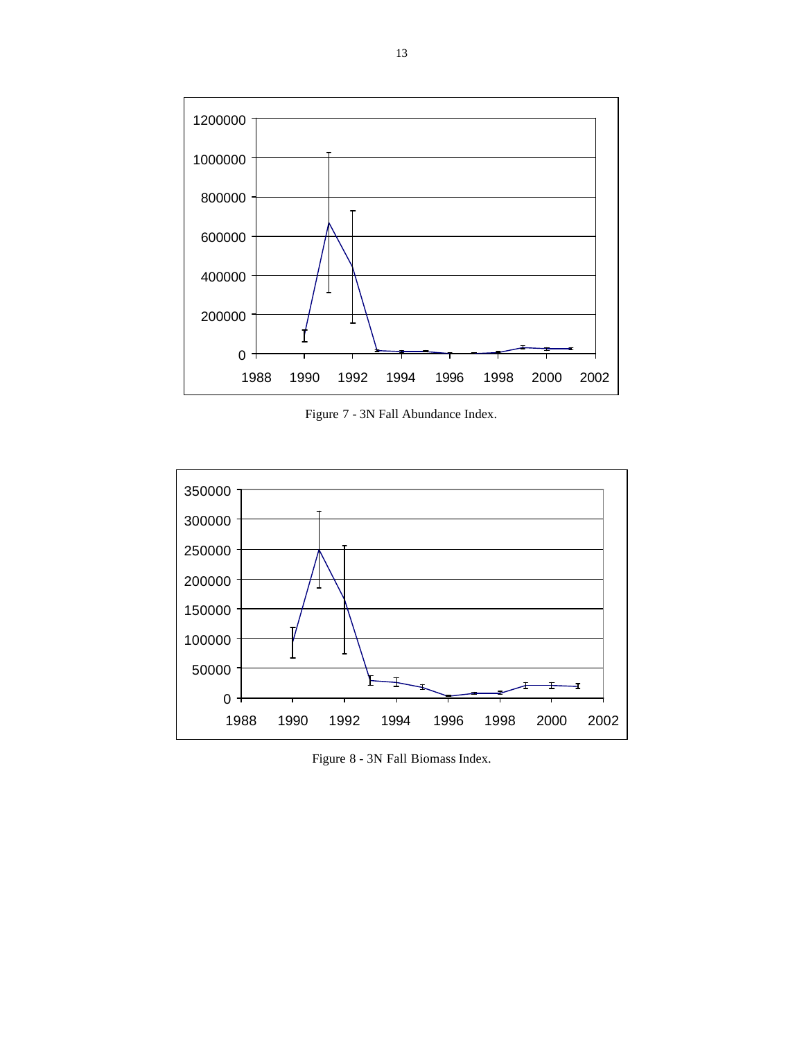

Figure 7 - 3N Fall Abundance Index.



Figure 8 - 3N Fall Biomass Index.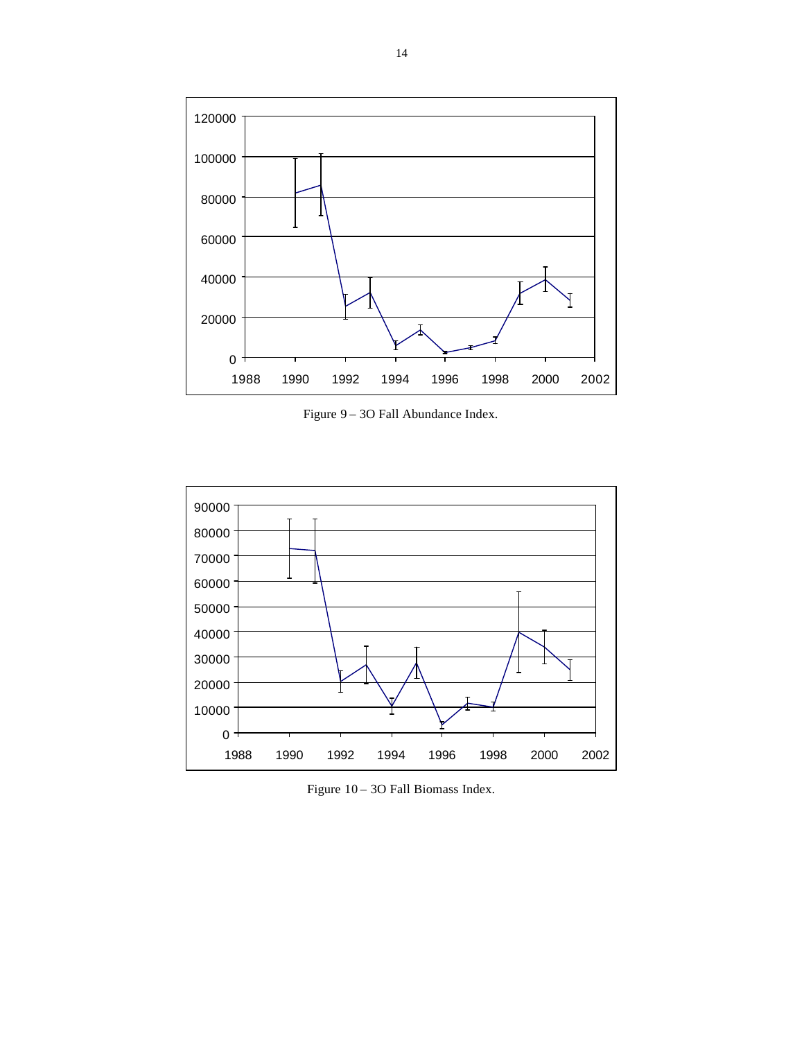

Figure 9 – 3O Fall Abundance Index.



Figure 10 – 3O Fall Biomass Index.